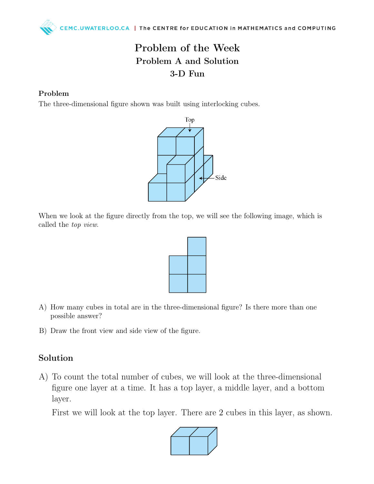## Problem of the Week Problem A and Solution 3-D Fun

#### Problem

The three-dimensional figure shown was built using interlocking cubes.



When we look at the figure directly from the top, we will see the following image, which is called the top view.



- A) How many cubes in total are in the three-dimensional figure? Is there more than one possible answer?
- B) Draw the front view and side view of the figure.

#### Solution

A) To count the total number of cubes, we will look at the three-dimensional figure one layer at a time. It has a top layer, a middle layer, and a bottom layer.

First we will look at the top layer. There are 2 cubes in this layer, as shown.

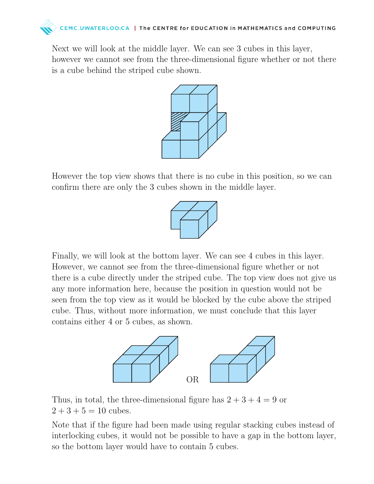

Next we will look at the middle layer. We can see 3 cubes in this layer, however we cannot see from the three-dimensional figure whether or not there is a cube behind the striped cube shown.



However the top view shows that there is no cube in this position, so we can confirm there are only the 3 cubes shown in the middle layer.



Finally, we will look at the bottom layer. We can see 4 cubes in this layer. However, we cannot see from the three-dimensional figure whether or not there is a cube directly under the striped cube. The top view does not give us any more information here, because the position in question would not be seen from the top view as it would be blocked by the cube above the striped cube. Thus, without more information, we must conclude that this layer contains either 4 or 5 cubes, as shown.



Thus, in total, the three-dimensional figure has  $2 + 3 + 4 = 9$  or  $2 + 3 + 5 = 10$  cubes.

Note that if the figure had been made using regular stacking cubes instead of interlocking cubes, it would not be possible to have a gap in the bottom layer, so the bottom layer would have to contain 5 cubes.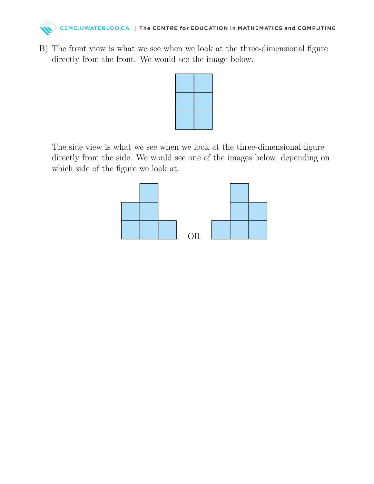

B) The front view is what we see when we look at the three-dimensional figure directly from the front. We would see the image below.



The side view is what we see when we look at the three-dimensional figure directly from the side. We would see one of the images below, depending on which side of the figure we look at.